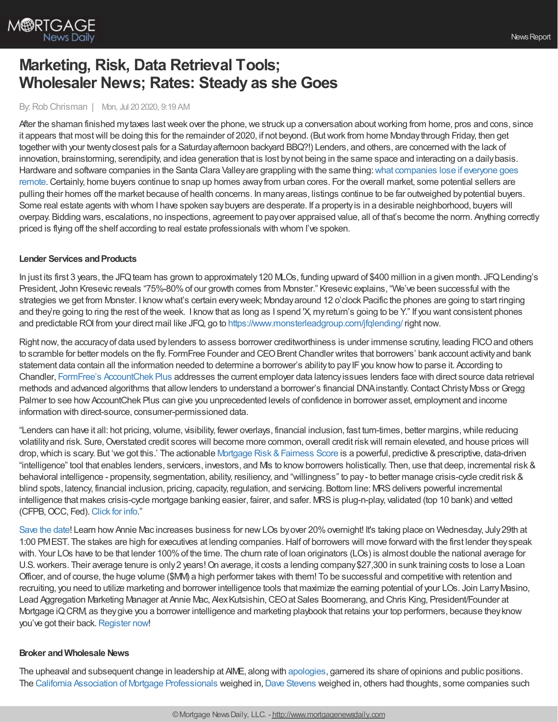

# **Marketing, Risk, Data Retrieval Tools; Wholesaler News; Rates: Steady as she Goes**

### By:Rob Chrisman | Mon, Jul 20 2020, 9:19 AM

After the shaman finished my taxes last week over the phone, we struck up a conversation about working from home, pros and cons, since it appears that mostwill be doing this for the remainder of 2020, if not beyond. (Butwork from home Mondaythrough Friday, then get together with your twenty closest pals for a Saturday afternoon backyard BBQ?!) Lenders, and others, are concerned with the lack of innovation, brainstorming, serendipity, and idea generation that is lost bynot being in the same space and interacting on a dailybasis. Hardware and software companies in the Santa Clara Valley are grappling with the same thing: what companies lose if everyone goes [remote.Certainly,](https://marker.medium.com/what-silicon-valley-loses-if-everyone-goes-remote-761b398dc9fb) home buyers continue to snap up homes awayfrom urban cores. For the overall market, some potential sellers are pulling their homes off the market because of health concerns. In manyareas, listings continue to be far outweighed bypotential buyers. Some real estate agents with whom I have spoken saybuyers are desperate. If a propertyis in a desirable neighborhood, buyers will overpay. Bidding wars, escalations, no inspections, agreement to payover appraised value, all of that's become the norm. Anything correctly priced is flying off the shelf according to real estate professionals with whom I've spoken.

### **Lender Services and Products**

In just its first 3 years, the JFQ team has grown to approximately 120 MLOs, funding upward of \$400 million in a given month. JFQ Lending's President, John Kresevic reveals "75%-80% of our growth comes from Monster." Kresevic explains, "We've been successful with the strategies we get from Monster. I knowwhat's certain everyweek; Mondayaround 12 o'clock Pacific the phones are going to start ringing and they're going to ring the rest of the week. I know that as long as I spend 'X, my return's going to be Y." If you want consistent phones and predictable ROI from your direct mail like JFQ, go to <https://www.monsterleadgroup.com/jfqlending/> right now.

Right now, the accuracyof data used bylenders to assess borrower creditworthiness is under immense scrutiny, leading FICOand others to scramble for better models on the fly. FormFree Founder and CEO Brent Chandler writes that borrowers' bank account activity and bank statement data contain all the information needed to determine a borrower's ability to pay IF you know how to parse it. According to Chandler, FormFree's [AccountChek](https://www.formfree.com/accountchek/) Plus addresses the current employer data latencyissues lenders face with direct source data retrieval methods and advanced algorithms that allow lenders to understand a borrower's financial DNA instantly. Contact Christy Moss or Gregg Palmer to see how AccountChek Plus can give you unprecedented levels of confidence in borrower asset, employment and income information with direct-source, consumer-permissioned data.

"Lenders can have it all: hot pricing, volume, visibility, fewer overlays, financial inclusion, fast turn-times, better margins, while reducing volatility and risk. Sure, Overstated credit scores will become more common, overall credit risk will remain elevated, and house prices will drop, which is scary. But 'we got this.' The actionable Mortgage Risk & Fairness Score is a powerful, predictive & prescriptive, data-driven "intelligence" tool that enables lenders, servicers, investors, and MIs to know borrowers holistically. Then, use that deep, incremental risk & behavioral intelligence - propensity, segmentation, ability, resiliency, and "willingness" to pay- to better manage crisis-cycle credit risk & blind spots, latency, financial inclusion, pricing, capacity, regulation, and servicing. Bottom line: MRS delivers powerful incremental intelligence that makes crisis-cycle mortgage banking easier, fairer, and safer. MRSis plug-n-play, validated (top 10 bank) and vetted (CFPB, OCC, Fed). [Click](https://www.aliyamortgage.com/mortgage-risk-score/) for info."

[Save](https://hubs.ly/H0szhnc0) the date! Learn how Annie Mac increases business for new LOs byover 20% overnight! It's taking place on Wednesday, July 29th at 1:00 PMEST. The stakes are high for executives at lending companies.Half of borrowers will move forward with the first lender theyspeak with. Your LOs have to be that lender 100%of the time. The churn rate of loan originators (LOs) is almost double the national average for U.S. workers. Their average tenure is only 2 years! On average, it costs a lending company \$27,300 in sunk training costs to lose a Loan Officer, and of course, the huge volume (\$MM) a high performer takes with them! To be successful and competitive with retention and recruiting, you need to utilize marketing and borrower intelligence tools that maximize the earning potential of your LOs. Join LarryMasino, Lead Aggregation Marketing Manager at Annie Mac, Alex Kutsishin, CEO at Sales Boomerang, and Chris King, President/Founder at Mortgage iQCRM, as theygive you a borrower intelligence and marketing playbook that retains your top performers, because theyknow you've got their back. [Register](https://hubs.ly/H0szhnc0) now!

### **Broker andWholesale News**

The upheaval and subsequent change in leadership at AIME, along with [apologies,](https://aimegroup.com/letter-from-aime-leadership/) garnered its share of opinions and public positions. The California Association of Mortgage [Professionals](https://thecampsite.org/) weighed in, Dave [Stevens](https://www.linkedin.com/pulse/do-lenders-just-turn-blind-eye-when-happens-david-h-stevens-cmb/) weighed in, others had thoughts, some companies such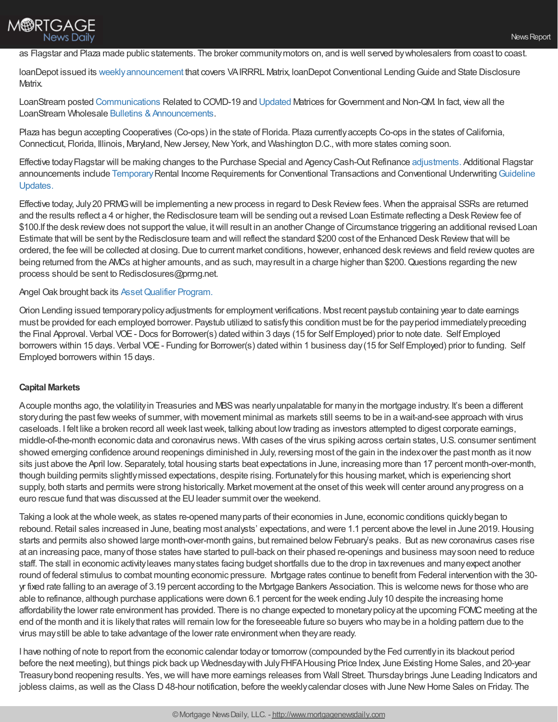# M®RTGAGE **News Daily**

### as Flagstar and Plaza made public statements. The broker communitymotors on, and is well served bywholesalers from coast to coast.

loanDepot issued its weekly announcement that covers VAIRRRL Matrix, loanDepot Conventional Lending Guide and State Disclosure Matrix.

LoanStream posted [Communications](https://loanstreamwholesale.com/2020/05/announcementcommunicationsrelatedtocovid-19/?utm_campaign=New%20Broker%20Aquisition&utm_medium=email&_hsmi=91534937&_hsenc=p2ANqtz-_C2n_u31FoZzq6yMdnUL3kLGP6EPYV_J3_VVvlhtgEhdcPGqA9EK7RQ2S5noxL7y5YObDYHYS9R92yGT9RrIM0r1rJAbldBD9pxqovuR6iUeFr8xw&utm_content=90983945&utm_source=hs_email) Related to COVID-19 and [Updated](https://loanstreamwholesale.com/programs/?utm_campaign=New%20Broker%20Aquisition&utm_medium=email&_hsmi=91534937&_hsenc=p2ANqtz-_QAqW_59NZa0cTf5sgJ03MXYH7T7b4szpF8OakJ3DUNLsAkH7uV5Ypov8mw9bZCpjaEW3tHkvZWFT-axn_bk1GDHwffjPnw7LiP1ryK0jkrWrlbYg&utm_content=90983945&utm_source=hs_email) Matrices forGovernment and Non-QM. In fact, viewall the LoanStream Wholesale Bulletins & Announcements.

Plaza has begun accepting Cooperatives (Co-ops) in the state of Florida. Plaza currently accepts Co-ops in the states of California, Connecticut, Florida, Illinois, Maryland, New Jersey, New York, and Washington D.C., with more states coming soon.

Effective today Flagstar will be making changes to the Purchase Special and Agency Cash-Out Refinance [adjustments.](https://www.flagstar.com/content/dam/tpo/sellers-guide/announcements/20075.pdf) Additional Flagstar announcements include [Temporary](https://www.flagstar.com/content/dam/tpo/sellers-guide/announcements/20073.pdf) Rental Income Requirements for Conventional Transactions and Conventional Underwriting Guideline Updates.

Effective today, July 20 PRMG will be implementing a new process in regard to Desk Review fees. When the appraisal SSRs are returned and the results reflect a 4 or higher, the Redisclosure team will be sending out a revised Loan Estimate reflecting a Desk Review fee of \$100.If the desk review does not support the value, it will result in an another Change of Circumstance triggering an additional revised Loan Estimate that will be sent by the Redisclosure team and will reflect the standard \$200 cost of the Enhanced Desk Review that will be ordered, the fee will be collected at closing. Due to current market conditions, however, enhanced desk reviews and field review quotes are being returned from the AMCs at higher amounts, and as such, mayresult in a charge higher than \$200.Questions regarding the new process should be sent to Redisclosures@prmg.net.

### Angel Oak brought back its Asset Qualifier Program.

Orion Lending issued temporarypolicyadjustments for employment verifications. Most recent paystub containing year to date earnings must be provided for each employed borrower. Paystub utilized to satisfythis condition must be for the payperiod immediatelypreceding the Final Approval. Verbal VOE- Docs for Borrower(s) dated within 3 days (15 for Self Employed) prior to note date. Self Employed borrowers within 15 days. Verbal VOE- Funding for Borrower(s) dated within 1 business day(15 for Self Employed) prior to funding. Self Employed borrowers within 15 days.

## **Capital Markets**

Acouple months ago, the volatilityin Treasuries and MBSwas nearlyunpalatable for manyin the mortgage industry. It's been a different story during the past few weeks of summer, with movement minimal as markets still seems to be in a wait-and-see approach with virus caseloads. I felt like a broken record all week lastweek, talking about lowtrading as investors attempted to digest corporate earnings, middle-of-the-month economic data and coronavirus news. With cases of the virus spiking across certain states,U.S. consumer sentiment showed emerging confidence around reopenings diminished in July, reversing most of the gain in the indexover the past month as it now sits just above the April low. Separately, total housing starts beat expectations in June, increasing more than 17 percent month-over-month, though building permits slightly missed expectations, despite rising. Fortunately for this housing market, which is experiencing short supply, both starts and permits were strong historically. Market movement at the onset of this weekwill center around anyprogress on a euro rescue fund that was discussed at the EU leader summit over the weekend.

Taking a look at the whole week, as states re-opened manyparts of their economies in June, economic conditions quicklybegan to rebound. Retail sales increased in June, beating most analysts' expectations, and were 1.1 percent above the level in June 2019. Housing starts and permits also showed large month-over-month gains, but remained below February's peaks. But as new coronavirus cases rise at an increasing pace, manyof those states have started to pull-back on their phased re-openings and business maysoon need to reduce staff. The stall in economic activityleaves manystates facing budget shortfalls due to the drop in taxrevenues and manyexpect another round of federal stimulus to combat mounting economic pressure. Mortgage rates continue to benefit from Federal intervention with the 30 yr fixed rate falling to an average of 3.19 percent according to the Mortgage Bankers Association. This is welcome news for those who are able to refinance, although purchase applications were down 6.1 percent for the week ending July10 despite the increasing home affordabilitythe lower rate environment has provided. There is no change expected to monetarypolicyat the upcoming FOMC meeting at the end of the month and it is likelythat rates will remain lowfor the foreseeable future so buyers who maybe in a holding pattern due to the virus maystill be able to take advantage of the lower rate environmentwhen theyare ready.

I have nothing of note to report from the economic calendar todayor tomorrow(compounded bythe Fed currentlyin its blackout period before the next meeting), but things pick back up Wednesdaywith JulyFHFAHousing Price Index, June Existing Home Sales, and 20-year Treasurybond reopening results. Yes,we will have more earnings releases from Wall Street. Thursdaybrings June Leading Indicators and jobless claims, as well as the Class D 48-hour notification, before the weekly calendar closes with June New Home Sales on Friday. The